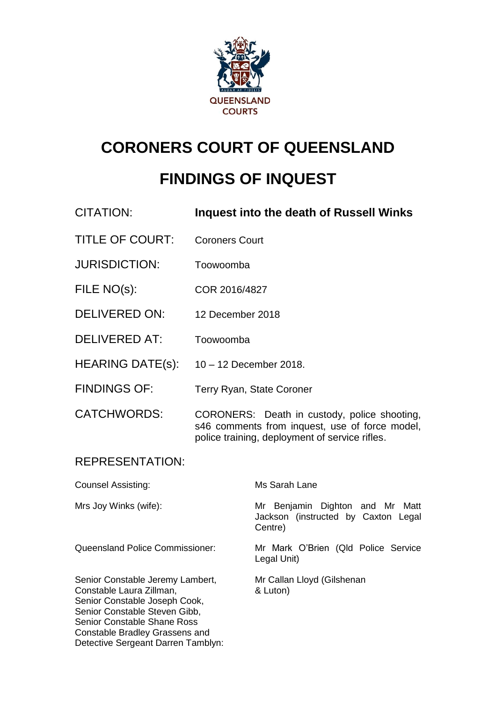

# **CORONERS COURT OF QUEENSLAND**

## **FINDINGS OF INQUEST**

| <b>CITATION:</b>                                                                                                                                                                                |                                                                                                                                                  | <b>Inquest into the death of Russell Winks</b>                                    |
|-------------------------------------------------------------------------------------------------------------------------------------------------------------------------------------------------|--------------------------------------------------------------------------------------------------------------------------------------------------|-----------------------------------------------------------------------------------|
| <b>TITLE OF COURT:</b>                                                                                                                                                                          | <b>Coroners Court</b>                                                                                                                            |                                                                                   |
| <b>JURISDICTION:</b>                                                                                                                                                                            | Toowoomba                                                                                                                                        |                                                                                   |
| FILE NO(s):                                                                                                                                                                                     | COR 2016/4827                                                                                                                                    |                                                                                   |
| DELIVERED ON:                                                                                                                                                                                   | 12 December 2018                                                                                                                                 |                                                                                   |
| <b>DELIVERED AT:</b>                                                                                                                                                                            | Toowoomba                                                                                                                                        |                                                                                   |
| <b>HEARING DATE(s):</b>                                                                                                                                                                         | 10 - 12 December 2018.                                                                                                                           |                                                                                   |
| <b>FINDINGS OF:</b>                                                                                                                                                                             |                                                                                                                                                  | <b>Terry Ryan, State Coroner</b>                                                  |
| <b>CATCHWORDS:</b>                                                                                                                                                                              | CORONERS: Death in custody, police shooting,<br>s46 comments from inquest, use of force model,<br>police training, deployment of service rifles. |                                                                                   |
| <b>REPRESENTATION:</b>                                                                                                                                                                          |                                                                                                                                                  |                                                                                   |
| <b>Counsel Assisting:</b>                                                                                                                                                                       |                                                                                                                                                  | Ms Sarah Lane                                                                     |
| Mrs Joy Winks (wife):                                                                                                                                                                           |                                                                                                                                                  | Mr Benjamin Dighton and Mr Matt<br>Jackson (instructed by Caxton Legal<br>Centre) |
| <b>Queensland Police Commissioner:</b>                                                                                                                                                          |                                                                                                                                                  | Mr Mark O'Brien (Qld Police Service<br>Legal Unit)                                |
| Senior Constable Jeremy Lambert,<br>Constable Laura Zillman,<br>Senior Constable Joseph Cook,<br>Senior Constable Steven Gibb,<br>Senior Constable Shane Ross<br>Constable Bradley Grassens and |                                                                                                                                                  | Mr Callan Lloyd (Gilshenan<br>& Luton)                                            |

Detective Sergeant Darren Tamblyn: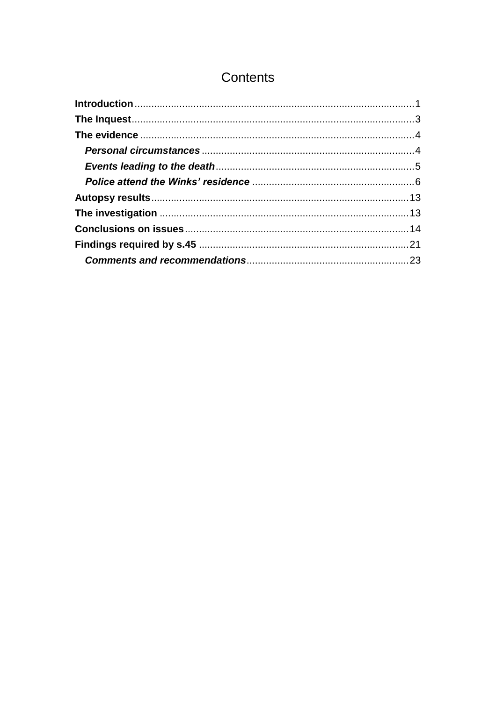## Contents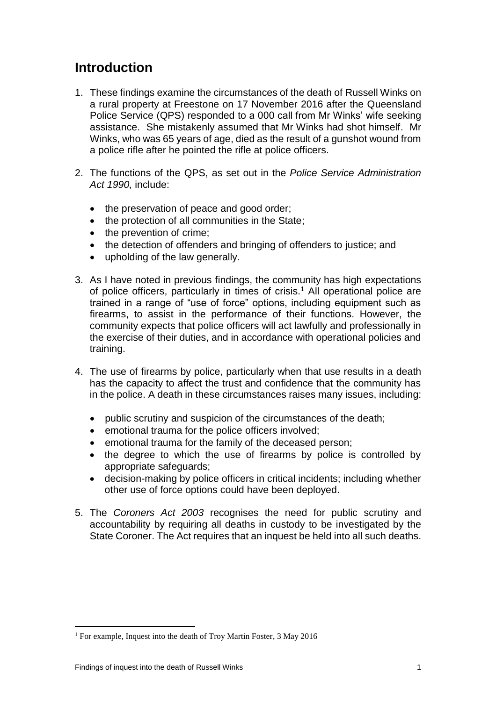## <span id="page-2-0"></span>**Introduction**

- 1. These findings examine the circumstances of the death of Russell Winks on a rural property at Freestone on 17 November 2016 after the Queensland Police Service (QPS) responded to a 000 call from Mr Winks' wife seeking assistance. She mistakenly assumed that Mr Winks had shot himself. Mr Winks, who was 65 years of age, died as the result of a gunshot wound from a police rifle after he pointed the rifle at police officers.
- 2. The functions of the QPS, as set out in the *Police Service Administration Act 1990,* include:
	- the preservation of peace and good order;
	- the protection of all communities in the State;
	- the prevention of crime;
	- the detection of offenders and bringing of offenders to justice; and
	- upholding of the law generally.
- 3. As I have noted in previous findings, the community has high expectations of police officers, particularly in times of crisis.<sup>1</sup> All operational police are trained in a range of "use of force" options, including equipment such as firearms, to assist in the performance of their functions. However, the community expects that police officers will act lawfully and professionally in the exercise of their duties, and in accordance with operational policies and training.
- 4. The use of firearms by police, particularly when that use results in a death has the capacity to affect the trust and confidence that the community has in the police. A death in these circumstances raises many issues, including:
	- public scrutiny and suspicion of the circumstances of the death;
	- emotional trauma for the police officers involved;
	- emotional trauma for the family of the deceased person;
	- the degree to which the use of firearms by police is controlled by appropriate safeguards;
	- decision-making by police officers in critical incidents; including whether other use of force options could have been deployed.
- 5. The *Coroners Act 2003* recognises the need for public scrutiny and accountability by requiring all deaths in custody to be investigated by the State Coroner. The Act requires that an inquest be held into all such deaths.

<sup>&</sup>lt;sup>1</sup> For example, Inquest into the death of Troy Martin Foster, 3 May 2016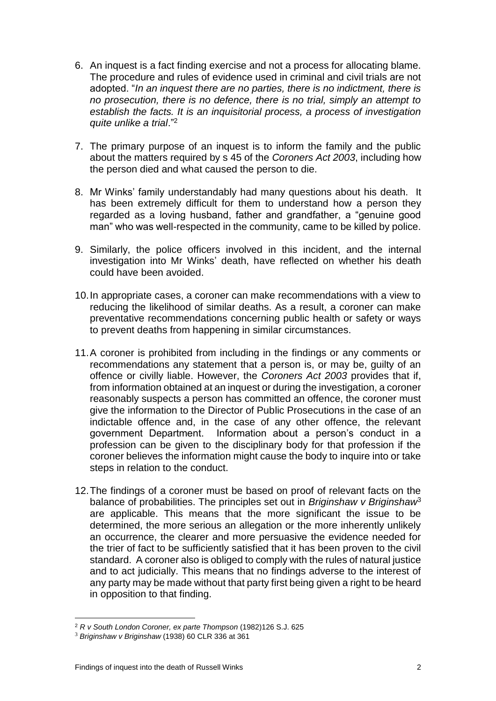- 6. An inquest is a fact finding exercise and not a process for allocating blame. The procedure and rules of evidence used in criminal and civil trials are not adopted. "*In an inquest there are no parties, there is no indictment, there is no prosecution, there is no defence, there is no trial, simply an attempt to establish the facts. It is an inquisitorial process, a process of investigation quite unlike a trial*."<sup>2</sup>
- 7. The primary purpose of an inquest is to inform the family and the public about the matters required by s 45 of the *Coroners Act 2003*, including how the person died and what caused the person to die.
- 8. Mr Winks' family understandably had many questions about his death. It has been extremely difficult for them to understand how a person they regarded as a loving husband, father and grandfather, a "genuine good man" who was well-respected in the community, came to be killed by police.
- 9. Similarly, the police officers involved in this incident, and the internal investigation into Mr Winks' death, have reflected on whether his death could have been avoided.
- 10.In appropriate cases, a coroner can make recommendations with a view to reducing the likelihood of similar deaths. As a result, a coroner can make preventative recommendations concerning public health or safety or ways to prevent deaths from happening in similar circumstances.
- 11.A coroner is prohibited from including in the findings or any comments or recommendations any statement that a person is, or may be, guilty of an offence or civilly liable. However, the *Coroners Act 2003* provides that if, from information obtained at an inquest or during the investigation, a coroner reasonably suspects a person has committed an offence, the coroner must give the information to the Director of Public Prosecutions in the case of an indictable offence and, in the case of any other offence, the relevant government Department. Information about a person's conduct in a profession can be given to the disciplinary body for that profession if the coroner believes the information might cause the body to inquire into or take steps in relation to the conduct.
- 12.The findings of a coroner must be based on proof of relevant facts on the balance of probabilities. The principles set out in *Briginshaw v Briginshaw*<sup>3</sup> are applicable. This means that the more significant the issue to be determined, the more serious an allegation or the more inherently unlikely an occurrence, the clearer and more persuasive the evidence needed for the trier of fact to be sufficiently satisfied that it has been proven to the civil standard. A coroner also is obliged to comply with the rules of natural justice and to act judicially. This means that no findings adverse to the interest of any party may be made without that party first being given a right to be heard in opposition to that finding.

<sup>2</sup> *R v South London Coroner, ex parte Thompson* (1982)126 S.J. 625

<sup>3</sup> *Briginshaw v Briginshaw* (1938) 60 CLR 336 at 361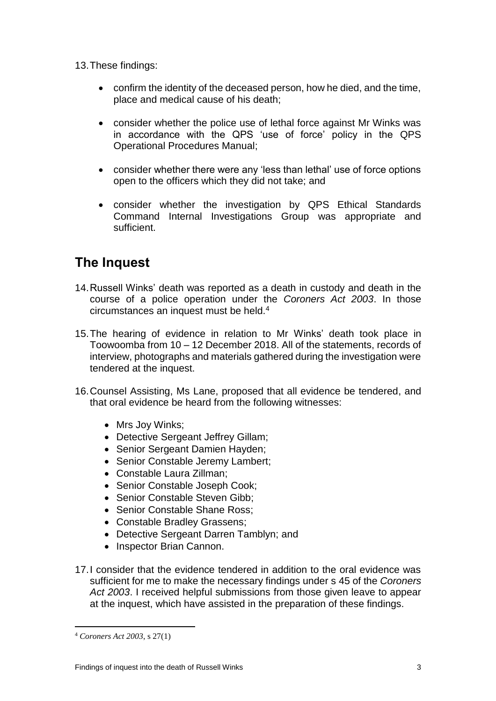13.These findings:

- confirm the identity of the deceased person, how he died, and the time, place and medical cause of his death;
- consider whether the police use of lethal force against Mr Winks was in accordance with the QPS 'use of force' policy in the QPS Operational Procedures Manual;
- consider whether there were any 'less than lethal' use of force options open to the officers which they did not take; and
- consider whether the investigation by QPS Ethical Standards Command Internal Investigations Group was appropriate and sufficient.

## <span id="page-4-0"></span>**The Inquest**

- 14.Russell Winks' death was reported as a death in custody and death in the course of a police operation under the *Coroners Act 2003*. In those circumstances an inquest must be held.<sup>4</sup>
- 15.The hearing of evidence in relation to Mr Winks' death took place in Toowoomba from 10 – 12 December 2018. All of the statements, records of interview, photographs and materials gathered during the investigation were tendered at the inquest.
- 16.Counsel Assisting, Ms Lane, proposed that all evidence be tendered, and that oral evidence be heard from the following witnesses:
	- Mrs Joy Winks;
	- Detective Sergeant Jeffrey Gillam;
	- Senior Sergeant Damien Hayden;
	- Senior Constable Jeremy Lambert;
	- Constable Laura Zillman;
	- Senior Constable Joseph Cook:
	- Senior Constable Steven Gibb:
	- Senior Constable Shane Ross:
	- Constable Bradley Grassens;
	- Detective Sergeant Darren Tamblyn; and
	- Inspector Brian Cannon.
- 17.I consider that the evidence tendered in addition to the oral evidence was sufficient for me to make the necessary findings under s 45 of the *Coroners Act 2003*. I received helpful submissions from those given leave to appear at the inquest, which have assisted in the preparation of these findings.

<sup>4</sup> *Coroners Act 2003*, s 27(1)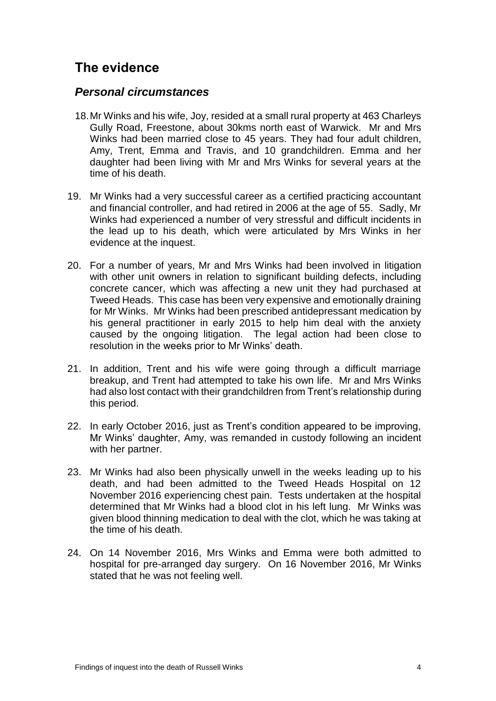## <span id="page-5-0"></span>**The evidence**

#### <span id="page-5-1"></span>*Personal circumstances*

- 18.Mr Winks and his wife, Joy, resided at a small rural property at 463 Charleys Gully Road, Freestone, about 30kms north east of Warwick. Mr and Mrs Winks had been married close to 45 years. They had four adult children, Amy, Trent, Emma and Travis, and 10 grandchildren. Emma and her daughter had been living with Mr and Mrs Winks for several years at the time of his death.
- 19. Mr Winks had a very successful career as a certified practicing accountant and financial controller, and had retired in 2006 at the age of 55. Sadly, Mr Winks had experienced a number of very stressful and difficult incidents in the lead up to his death, which were articulated by Mrs Winks in her evidence at the inquest.
- 20. For a number of years, Mr and Mrs Winks had been involved in litigation with other unit owners in relation to significant building defects, including concrete cancer, which was affecting a new unit they had purchased at Tweed Heads. This case has been very expensive and emotionally draining for Mr Winks. Mr Winks had been prescribed antidepressant medication by his general practitioner in early 2015 to help him deal with the anxiety caused by the ongoing litigation. The legal action had been close to resolution in the weeks prior to Mr Winks' death.
- 21. In addition, Trent and his wife were going through a difficult marriage breakup, and Trent had attempted to take his own life. Mr and Mrs Winks had also lost contact with their grandchildren from Trent's relationship during this period.
- 22. In early October 2016, just as Trent's condition appeared to be improving, Mr Winks' daughter, Amy, was remanded in custody following an incident with her partner.
- 23. Mr Winks had also been physically unwell in the weeks leading up to his death, and had been admitted to the Tweed Heads Hospital on 12 November 2016 experiencing chest pain. Tests undertaken at the hospital determined that Mr Winks had a blood clot in his left lung. Mr Winks was given blood thinning medication to deal with the clot, which he was taking at the time of his death.
- 24. On 14 November 2016, Mrs Winks and Emma were both admitted to hospital for pre-arranged day surgery. On 16 November 2016, Mr Winks stated that he was not feeling well.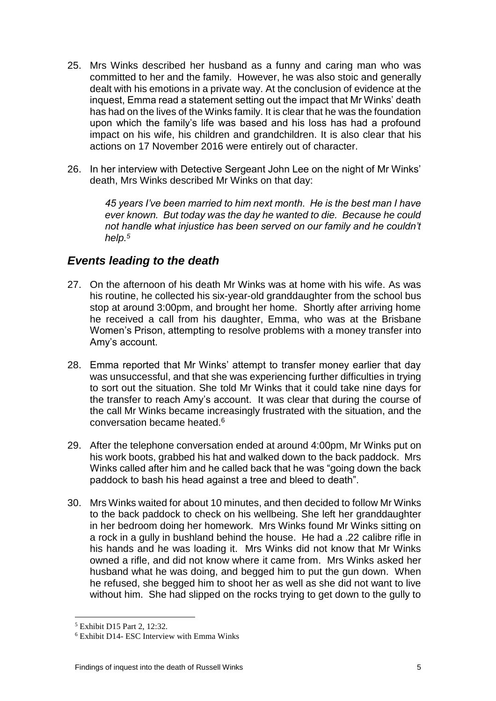- 25. Mrs Winks described her husband as a funny and caring man who was committed to her and the family. However, he was also stoic and generally dealt with his emotions in a private way. At the conclusion of evidence at the inquest, Emma read a statement setting out the impact that Mr Winks' death has had on the lives of the Winks family. It is clear that he was the foundation upon which the family's life was based and his loss has had a profound impact on his wife, his children and grandchildren. It is also clear that his actions on 17 November 2016 were entirely out of character.
- 26. In her interview with Detective Sergeant John Lee on the night of Mr Winks' death, Mrs Winks described Mr Winks on that day:

*45 years I've been married to him next month. He is the best man I have ever known. But today was the day he wanted to die. Because he could not handle what injustice has been served on our family and he couldn't help.<sup>5</sup>*

### <span id="page-6-0"></span>*Events leading to the death*

- 27. On the afternoon of his death Mr Winks was at home with his wife. As was his routine, he collected his six-year-old granddaughter from the school bus stop at around 3:00pm, and brought her home. Shortly after arriving home he received a call from his daughter, Emma, who was at the Brisbane Women's Prison, attempting to resolve problems with a money transfer into Amy's account.
- 28. Emma reported that Mr Winks' attempt to transfer money earlier that day was unsuccessful, and that she was experiencing further difficulties in trying to sort out the situation. She told Mr Winks that it could take nine days for the transfer to reach Amy's account. It was clear that during the course of the call Mr Winks became increasingly frustrated with the situation, and the conversation became heated.<sup>6</sup>
- 29. After the telephone conversation ended at around 4:00pm, Mr Winks put on his work boots, grabbed his hat and walked down to the back paddock. Mrs Winks called after him and he called back that he was "going down the back paddock to bash his head against a tree and bleed to death".
- 30. Mrs Winks waited for about 10 minutes, and then decided to follow Mr Winks to the back paddock to check on his wellbeing. She left her granddaughter in her bedroom doing her homework. Mrs Winks found Mr Winks sitting on a rock in a gully in bushland behind the house. He had a .22 calibre rifle in his hands and he was loading it. Mrs Winks did not know that Mr Winks owned a rifle, and did not know where it came from. Mrs Winks asked her husband what he was doing, and begged him to put the gun down. When he refused, she begged him to shoot her as well as she did not want to live without him. She had slipped on the rocks trying to get down to the gully to

<sup>5</sup> Exhibit D15 Part 2, 12:32.

<sup>6</sup> Exhibit D14- ESC Interview with Emma Winks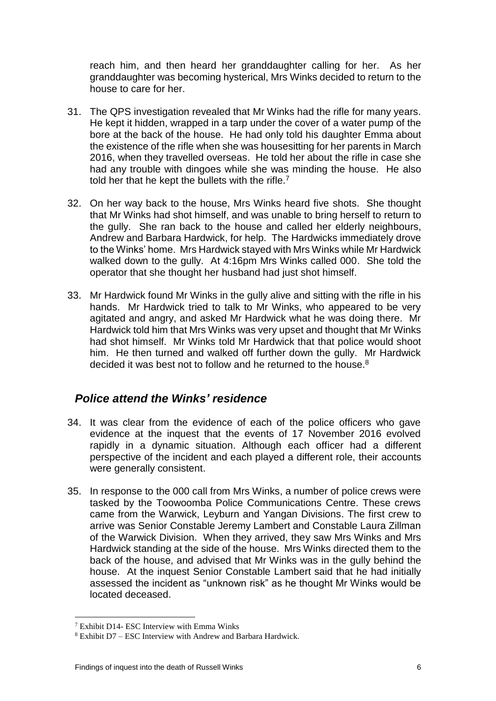reach him, and then heard her granddaughter calling for her. As her granddaughter was becoming hysterical, Mrs Winks decided to return to the house to care for her.

- 31. The QPS investigation revealed that Mr Winks had the rifle for many years. He kept it hidden, wrapped in a tarp under the cover of a water pump of the bore at the back of the house. He had only told his daughter Emma about the existence of the rifle when she was housesitting for her parents in March 2016, when they travelled overseas. He told her about the rifle in case she had any trouble with dingoes while she was minding the house. He also told her that he kept the bullets with the rifle.<sup>7</sup>
- 32. On her way back to the house, Mrs Winks heard five shots. She thought that Mr Winks had shot himself, and was unable to bring herself to return to the gully. She ran back to the house and called her elderly neighbours, Andrew and Barbara Hardwick, for help. The Hardwicks immediately drove to the Winks' home. Mrs Hardwick stayed with Mrs Winks while Mr Hardwick walked down to the gully. At 4:16pm Mrs Winks called 000. She told the operator that she thought her husband had just shot himself.
- 33. Mr Hardwick found Mr Winks in the gully alive and sitting with the rifle in his hands. Mr Hardwick tried to talk to Mr Winks, who appeared to be very agitated and angry, and asked Mr Hardwick what he was doing there. Mr Hardwick told him that Mrs Winks was very upset and thought that Mr Winks had shot himself. Mr Winks told Mr Hardwick that that police would shoot him. He then turned and walked off further down the gully. Mr Hardwick decided it was best not to follow and he returned to the house.<sup>8</sup>

## <span id="page-7-0"></span>*Police attend the Winks' residence*

- 34. It was clear from the evidence of each of the police officers who gave evidence at the inquest that the events of 17 November 2016 evolved rapidly in a dynamic situation. Although each officer had a different perspective of the incident and each played a different role, their accounts were generally consistent.
- 35. In response to the 000 call from Mrs Winks, a number of police crews were tasked by the Toowoomba Police Communications Centre. These crews came from the Warwick, Leyburn and Yangan Divisions. The first crew to arrive was Senior Constable Jeremy Lambert and Constable Laura Zillman of the Warwick Division. When they arrived, they saw Mrs Winks and Mrs Hardwick standing at the side of the house. Mrs Winks directed them to the back of the house, and advised that Mr Winks was in the gully behind the house. At the inquest Senior Constable Lambert said that he had initially assessed the incident as "unknown risk" as he thought Mr Winks would be located deceased.

 $\overline{a}$  $7$  Exhibit D14- ESC Interview with Emma Winks

<sup>8</sup> Exhibit D7 – ESC Interview with Andrew and Barbara Hardwick.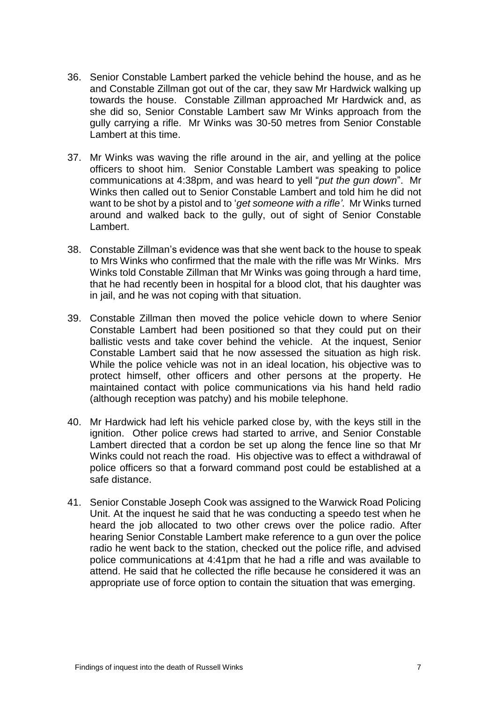- 36. Senior Constable Lambert parked the vehicle behind the house, and as he and Constable Zillman got out of the car, they saw Mr Hardwick walking up towards the house. Constable Zillman approached Mr Hardwick and, as she did so, Senior Constable Lambert saw Mr Winks approach from the gully carrying a rifle. Mr Winks was 30-50 metres from Senior Constable Lambert at this time.
- 37. Mr Winks was waving the rifle around in the air, and yelling at the police officers to shoot him. Senior Constable Lambert was speaking to police communications at 4:38pm, and was heard to yell "*put the gun down*". Mr Winks then called out to Senior Constable Lambert and told him he did not want to be shot by a pistol and to '*get someone with a rifle'*. Mr Winks turned around and walked back to the gully, out of sight of Senior Constable Lambert.
- 38. Constable Zillman's evidence was that she went back to the house to speak to Mrs Winks who confirmed that the male with the rifle was Mr Winks. Mrs Winks told Constable Zillman that Mr Winks was going through a hard time, that he had recently been in hospital for a blood clot, that his daughter was in jail, and he was not coping with that situation.
- 39. Constable Zillman then moved the police vehicle down to where Senior Constable Lambert had been positioned so that they could put on their ballistic vests and take cover behind the vehicle. At the inquest, Senior Constable Lambert said that he now assessed the situation as high risk. While the police vehicle was not in an ideal location, his objective was to protect himself, other officers and other persons at the property. He maintained contact with police communications via his hand held radio (although reception was patchy) and his mobile telephone.
- 40. Mr Hardwick had left his vehicle parked close by, with the keys still in the ignition. Other police crews had started to arrive, and Senior Constable Lambert directed that a cordon be set up along the fence line so that Mr Winks could not reach the road. His objective was to effect a withdrawal of police officers so that a forward command post could be established at a safe distance.
- 41. Senior Constable Joseph Cook was assigned to the Warwick Road Policing Unit. At the inquest he said that he was conducting a speedo test when he heard the job allocated to two other crews over the police radio. After hearing Senior Constable Lambert make reference to a gun over the police radio he went back to the station, checked out the police rifle, and advised police communications at 4:41pm that he had a rifle and was available to attend. He said that he collected the rifle because he considered it was an appropriate use of force option to contain the situation that was emerging.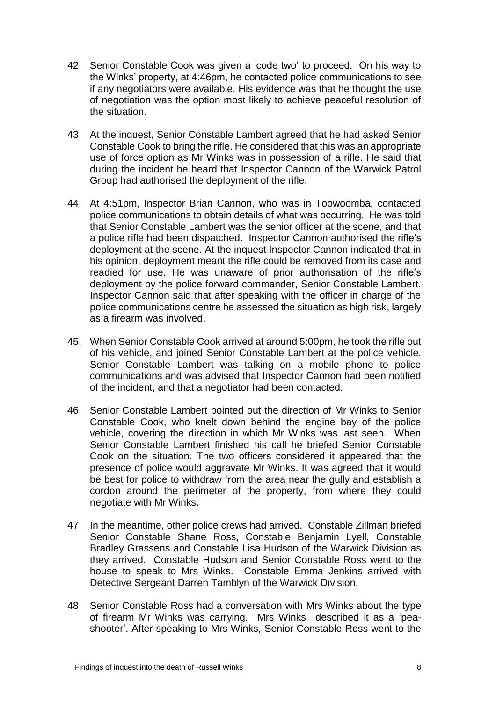- 42. Senior Constable Cook was given a 'code two' to proceed. On his way to the Winks' property, at 4:46pm, he contacted police communications to see if any negotiators were available. His evidence was that he thought the use of negotiation was the option most likely to achieve peaceful resolution of the situation.
- 43. At the inquest, Senior Constable Lambert agreed that he had asked Senior Constable Cook to bring the rifle. He considered that this was an appropriate use of force option as Mr Winks was in possession of a rifle. He said that during the incident he heard that Inspector Cannon of the Warwick Patrol Group had authorised the deployment of the rifle.
- 44. At 4:51pm, Inspector Brian Cannon, who was in Toowoomba, contacted police communications to obtain details of what was occurring. He was told that Senior Constable Lambert was the senior officer at the scene, and that a police rifle had been dispatched. Inspector Cannon authorised the rifle's deployment at the scene. At the inquest Inspector Cannon indicated that in his opinion, deployment meant the rifle could be removed from its case and readied for use. He was unaware of prior authorisation of the rifle's deployment by the police forward commander, Senior Constable Lambert. Inspector Cannon said that after speaking with the officer in charge of the police communications centre he assessed the situation as high risk, largely as a firearm was involved.
- 45. When Senior Constable Cook arrived at around 5:00pm, he took the rifle out of his vehicle, and joined Senior Constable Lambert at the police vehicle. Senior Constable Lambert was talking on a mobile phone to police communications and was advised that Inspector Cannon had been notified of the incident, and that a negotiator had been contacted.
- 46. Senior Constable Lambert pointed out the direction of Mr Winks to Senior Constable Cook, who knelt down behind the engine bay of the police vehicle, covering the direction in which Mr Winks was last seen. When Senior Constable Lambert finished his call he briefed Senior Constable Cook on the situation. The two officers considered it appeared that the presence of police would aggravate Mr Winks. It was agreed that it would be best for police to withdraw from the area near the gully and establish a cordon around the perimeter of the property, from where they could negotiate with Mr Winks.
- 47. In the meantime, other police crews had arrived. Constable Zillman briefed Senior Constable Shane Ross, Constable Benjamin Lyell, Constable Bradley Grassens and Constable Lisa Hudson of the Warwick Division as they arrived. Constable Hudson and Senior Constable Ross went to the house to speak to Mrs Winks. Constable Emma Jenkins arrived with Detective Sergeant Darren Tamblyn of the Warwick Division.
- 48. Senior Constable Ross had a conversation with Mrs Winks about the type of firearm Mr Winks was carrying. Mrs Winks described it as a 'peashooter'. After speaking to Mrs Winks, Senior Constable Ross went to the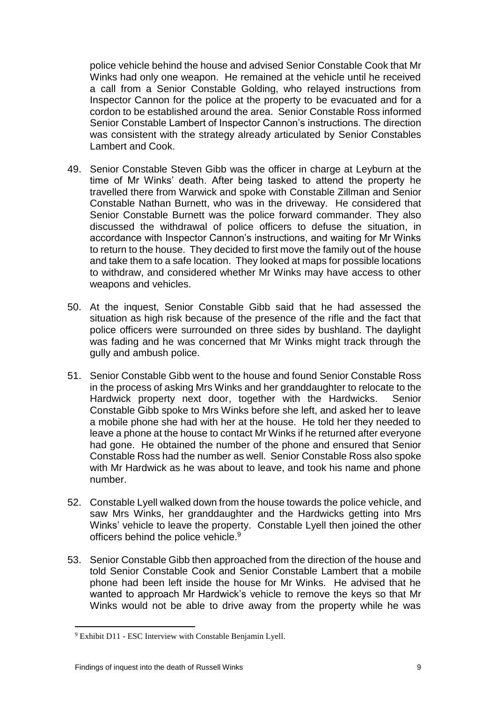police vehicle behind the house and advised Senior Constable Cook that Mr Winks had only one weapon. He remained at the vehicle until he received a call from a Senior Constable Golding, who relayed instructions from Inspector Cannon for the police at the property to be evacuated and for a cordon to be established around the area. Senior Constable Ross informed Senior Constable Lambert of Inspector Cannon's instructions. The direction was consistent with the strategy already articulated by Senior Constables Lambert and Cook.

- 49. Senior Constable Steven Gibb was the officer in charge at Leyburn at the time of Mr Winks' death. After being tasked to attend the property he travelled there from Warwick and spoke with Constable Zillman and Senior Constable Nathan Burnett, who was in the driveway. He considered that Senior Constable Burnett was the police forward commander. They also discussed the withdrawal of police officers to defuse the situation, in accordance with Inspector Cannon's instructions, and waiting for Mr Winks to return to the house. They decided to first move the family out of the house and take them to a safe location. They looked at maps for possible locations to withdraw, and considered whether Mr Winks may have access to other weapons and vehicles.
- 50. At the inquest, Senior Constable Gibb said that he had assessed the situation as high risk because of the presence of the rifle and the fact that police officers were surrounded on three sides by bushland. The daylight was fading and he was concerned that Mr Winks might track through the gully and ambush police.
- 51. Senior Constable Gibb went to the house and found Senior Constable Ross in the process of asking Mrs Winks and her granddaughter to relocate to the Hardwick property next door, together with the Hardwicks. Senior Constable Gibb spoke to Mrs Winks before she left, and asked her to leave a mobile phone she had with her at the house. He told her they needed to leave a phone at the house to contact Mr Winks if he returned after everyone had gone. He obtained the number of the phone and ensured that Senior Constable Ross had the number as well. Senior Constable Ross also spoke with Mr Hardwick as he was about to leave, and took his name and phone number.
- 52. Constable Lyell walked down from the house towards the police vehicle, and saw Mrs Winks, her granddaughter and the Hardwicks getting into Mrs Winks' vehicle to leave the property. Constable Lyell then joined the other officers behind the police vehicle.<sup>9</sup>
- 53. Senior Constable Gibb then approached from the direction of the house and told Senior Constable Cook and Senior Constable Lambert that a mobile phone had been left inside the house for Mr Winks. He advised that he wanted to approach Mr Hardwick's vehicle to remove the keys so that Mr Winks would not be able to drive away from the property while he was

<sup>9</sup> Exhibit D11 - ESC Interview with Constable Benjamin Lyell.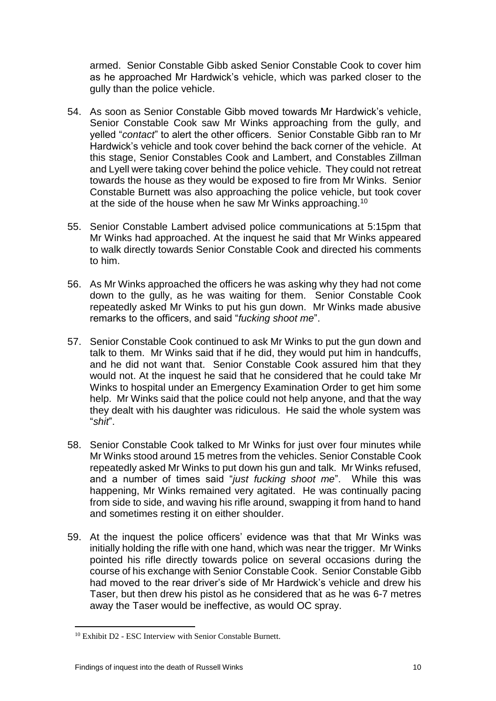armed. Senior Constable Gibb asked Senior Constable Cook to cover him as he approached Mr Hardwick's vehicle, which was parked closer to the gully than the police vehicle.

- 54. As soon as Senior Constable Gibb moved towards Mr Hardwick's vehicle, Senior Constable Cook saw Mr Winks approaching from the gully, and yelled "*contact*" to alert the other officers. Senior Constable Gibb ran to Mr Hardwick's vehicle and took cover behind the back corner of the vehicle. At this stage, Senior Constables Cook and Lambert, and Constables Zillman and Lyell were taking cover behind the police vehicle. They could not retreat towards the house as they would be exposed to fire from Mr Winks. Senior Constable Burnett was also approaching the police vehicle, but took cover at the side of the house when he saw Mr Winks approaching.<sup>10</sup>
- 55. Senior Constable Lambert advised police communications at 5:15pm that Mr Winks had approached. At the inquest he said that Mr Winks appeared to walk directly towards Senior Constable Cook and directed his comments to him.
- 56. As Mr Winks approached the officers he was asking why they had not come down to the gully, as he was waiting for them. Senior Constable Cook repeatedly asked Mr Winks to put his gun down. Mr Winks made abusive remarks to the officers, and said "*fucking shoot me*".
- 57. Senior Constable Cook continued to ask Mr Winks to put the gun down and talk to them. Mr Winks said that if he did, they would put him in handcuffs, and he did not want that. Senior Constable Cook assured him that they would not. At the inquest he said that he considered that he could take Mr Winks to hospital under an Emergency Examination Order to get him some help. Mr Winks said that the police could not help anyone, and that the way they dealt with his daughter was ridiculous. He said the whole system was "*shit*".
- 58. Senior Constable Cook talked to Mr Winks for just over four minutes while Mr Winks stood around 15 metres from the vehicles. Senior Constable Cook repeatedly asked Mr Winks to put down his gun and talk. Mr Winks refused, and a number of times said "*just fucking shoot me*". While this was happening, Mr Winks remained very agitated. He was continually pacing from side to side, and waving his rifle around, swapping it from hand to hand and sometimes resting it on either shoulder.
- 59. At the inquest the police officers' evidence was that that Mr Winks was initially holding the rifle with one hand, which was near the trigger. Mr Winks pointed his rifle directly towards police on several occasions during the course of his exchange with Senior Constable Cook. Senior Constable Gibb had moved to the rear driver's side of Mr Hardwick's vehicle and drew his Taser, but then drew his pistol as he considered that as he was 6-7 metres away the Taser would be ineffective, as would OC spray.

<sup>10</sup> Exhibit D2 - ESC Interview with Senior Constable Burnett.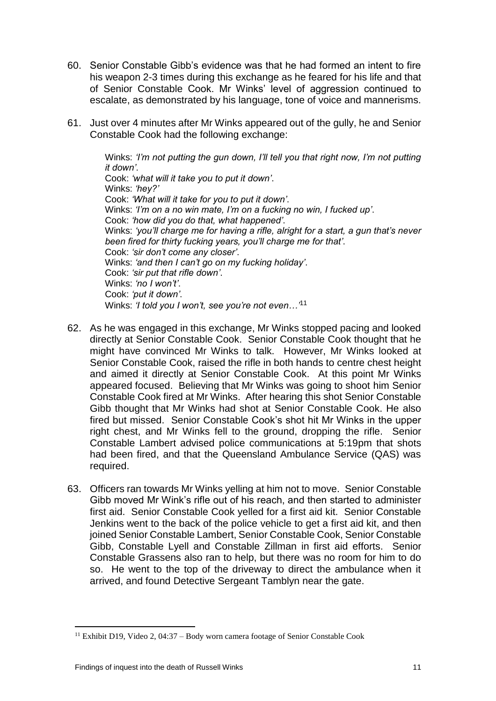- 60. Senior Constable Gibb's evidence was that he had formed an intent to fire his weapon 2-3 times during this exchange as he feared for his life and that of Senior Constable Cook. Mr Winks' level of aggression continued to escalate, as demonstrated by his language, tone of voice and mannerisms.
- 61. Just over 4 minutes after Mr Winks appeared out of the gully, he and Senior Constable Cook had the following exchange:

Winks: *'I'm not putting the gun down, I'll tell you that right now, I'm not putting it down'*. Cook: *'what will it take you to put it down'*. Winks: *'hey?'* Cook: *'What will it take for you to put it down'*. Winks: *'I'm on a no win mate, I'm on a fucking no win, I fucked up'*. Cook: *'how did you do that, what happened'*. Winks: *'you'll charge me for having a rifle, alright for a start, a gun that's never been fired for thirty fucking years, you'll charge me for that'*. Cook: *'sir don't come any closer'*. Winks: *'and then I can't go on my fucking holiday'*. Cook: *'sir put that rifle down'*. Winks: *'no I won't'*. Cook: *'put it down'*. Winks: *'I told you I won't, see you're not even…'*<sup>11</sup>

- 62. As he was engaged in this exchange, Mr Winks stopped pacing and looked directly at Senior Constable Cook. Senior Constable Cook thought that he might have convinced Mr Winks to talk. However, Mr Winks looked at Senior Constable Cook, raised the rifle in both hands to centre chest height and aimed it directly at Senior Constable Cook. At this point Mr Winks appeared focused. Believing that Mr Winks was going to shoot him Senior Constable Cook fired at Mr Winks. After hearing this shot Senior Constable Gibb thought that Mr Winks had shot at Senior Constable Cook. He also fired but missed. Senior Constable Cook's shot hit Mr Winks in the upper right chest, and Mr Winks fell to the ground, dropping the rifle. Senior Constable Lambert advised police communications at 5:19pm that shots had been fired, and that the Queensland Ambulance Service (QAS) was required.
- 63. Officers ran towards Mr Winks yelling at him not to move. Senior Constable Gibb moved Mr Wink's rifle out of his reach, and then started to administer first aid. Senior Constable Cook yelled for a first aid kit. Senior Constable Jenkins went to the back of the police vehicle to get a first aid kit, and then joined Senior Constable Lambert, Senior Constable Cook, Senior Constable Gibb, Constable Lyell and Constable Zillman in first aid efforts. Senior Constable Grassens also ran to help, but there was no room for him to do so. He went to the top of the driveway to direct the ambulance when it arrived, and found Detective Sergeant Tamblyn near the gate.

<sup>11</sup> Exhibit D19, Video 2, 04:37 – Body worn camera footage of Senior Constable Cook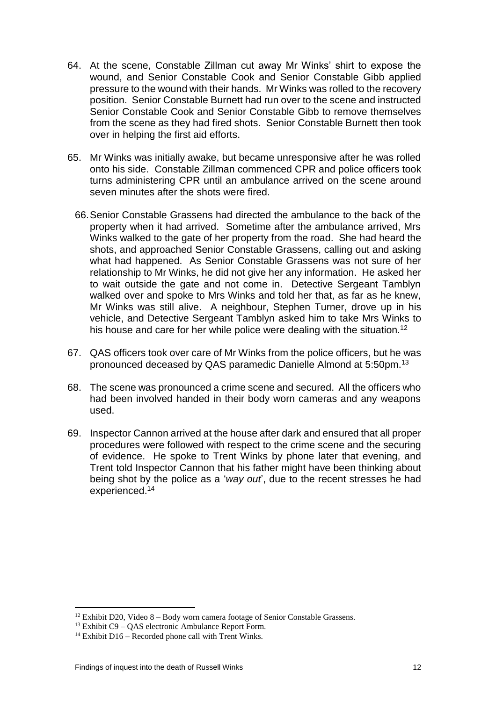- 64. At the scene, Constable Zillman cut away Mr Winks' shirt to expose the wound, and Senior Constable Cook and Senior Constable Gibb applied pressure to the wound with their hands. Mr Winks was rolled to the recovery position. Senior Constable Burnett had run over to the scene and instructed Senior Constable Cook and Senior Constable Gibb to remove themselves from the scene as they had fired shots. Senior Constable Burnett then took over in helping the first aid efforts.
- 65. Mr Winks was initially awake, but became unresponsive after he was rolled onto his side. Constable Zillman commenced CPR and police officers took turns administering CPR until an ambulance arrived on the scene around seven minutes after the shots were fired.
	- 66.Senior Constable Grassens had directed the ambulance to the back of the property when it had arrived. Sometime after the ambulance arrived, Mrs Winks walked to the gate of her property from the road. She had heard the shots, and approached Senior Constable Grassens, calling out and asking what had happened. As Senior Constable Grassens was not sure of her relationship to Mr Winks, he did not give her any information. He asked her to wait outside the gate and not come in. Detective Sergeant Tamblyn walked over and spoke to Mrs Winks and told her that, as far as he knew, Mr Winks was still alive. A neighbour, Stephen Turner, drove up in his vehicle, and Detective Sergeant Tamblyn asked him to take Mrs Winks to his house and care for her while police were dealing with the situation.<sup>12</sup>
- 67. QAS officers took over care of Mr Winks from the police officers, but he was pronounced deceased by QAS paramedic Danielle Almond at 5:50pm.<sup>13</sup>
- 68. The scene was pronounced a crime scene and secured. All the officers who had been involved handed in their body worn cameras and any weapons used.
- 69. Inspector Cannon arrived at the house after dark and ensured that all proper procedures were followed with respect to the crime scene and the securing of evidence. He spoke to Trent Winks by phone later that evening, and Trent told Inspector Cannon that his father might have been thinking about being shot by the police as a '*way out*', due to the recent stresses he had experienced. 14

<sup>&</sup>lt;sup>12</sup> Exhibit D20, Video  $8 -$ Body worn camera footage of Senior Constable Grassens.

 $13$  Exhibit C9 – OAS electronic Ambulance Report Form.

 $14$  Exhibit D16 – Recorded phone call with Trent Winks.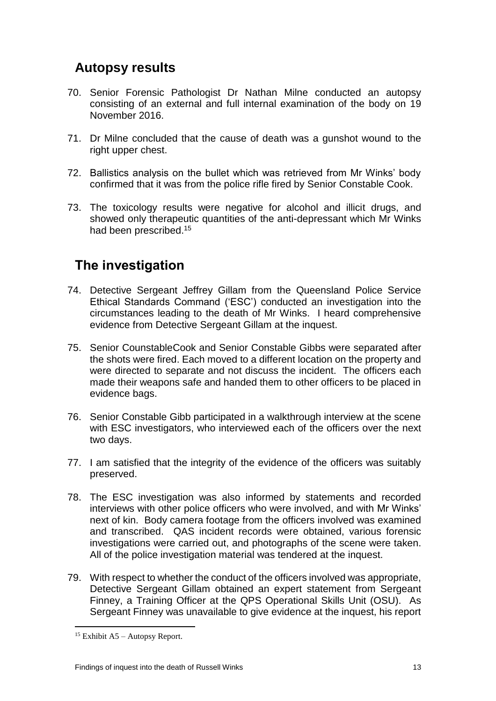## <span id="page-14-0"></span>**Autopsy results**

- 70. Senior Forensic Pathologist Dr Nathan Milne conducted an autopsy consisting of an external and full internal examination of the body on 19 November 2016.
- 71. Dr Milne concluded that the cause of death was a gunshot wound to the right upper chest.
- 72. Ballistics analysis on the bullet which was retrieved from Mr Winks' body confirmed that it was from the police rifle fired by Senior Constable Cook.
- 73. The toxicology results were negative for alcohol and illicit drugs, and showed only therapeutic quantities of the anti-depressant which Mr Winks had been prescribed.<sup>15</sup>

## <span id="page-14-1"></span>**The investigation**

- 74. Detective Sergeant Jeffrey Gillam from the Queensland Police Service Ethical Standards Command ('ESC') conducted an investigation into the circumstances leading to the death of Mr Winks. I heard comprehensive evidence from Detective Sergeant Gillam at the inquest.
- 75. Senior CounstableCook and Senior Constable Gibbs were separated after the shots were fired. Each moved to a different location on the property and were directed to separate and not discuss the incident. The officers each made their weapons safe and handed them to other officers to be placed in evidence bags.
- 76. Senior Constable Gibb participated in a walkthrough interview at the scene with ESC investigators, who interviewed each of the officers over the next two days.
- 77. I am satisfied that the integrity of the evidence of the officers was suitably preserved.
- 78. The ESC investigation was also informed by statements and recorded interviews with other police officers who were involved, and with Mr Winks' next of kin. Body camera footage from the officers involved was examined and transcribed. QAS incident records were obtained, various forensic investigations were carried out, and photographs of the scene were taken. All of the police investigation material was tendered at the inquest.
- 79. With respect to whether the conduct of the officers involved was appropriate, Detective Sergeant Gillam obtained an expert statement from Sergeant Finney, a Training Officer at the QPS Operational Skills Unit (OSU). As Sergeant Finney was unavailable to give evidence at the inquest, his report

 $15$  Exhibit A5 – Autopsy Report.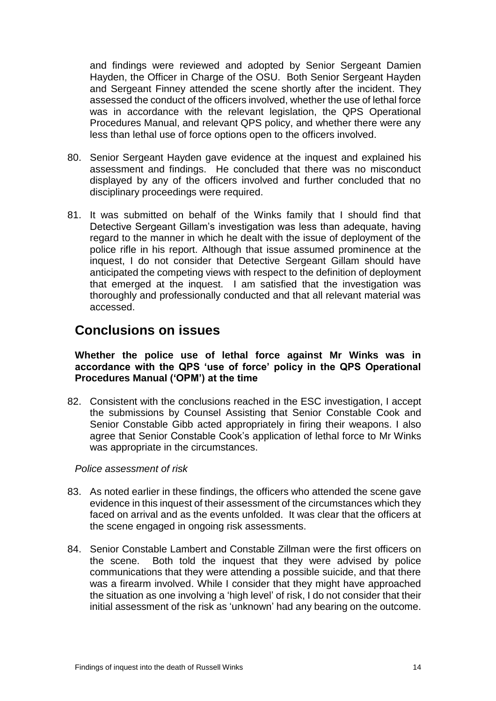and findings were reviewed and adopted by Senior Sergeant Damien Hayden, the Officer in Charge of the OSU. Both Senior Sergeant Hayden and Sergeant Finney attended the scene shortly after the incident. They assessed the conduct of the officers involved, whether the use of lethal force was in accordance with the relevant legislation, the QPS Operational Procedures Manual, and relevant QPS policy, and whether there were any less than lethal use of force options open to the officers involved.

- 80. Senior Sergeant Hayden gave evidence at the inquest and explained his assessment and findings. He concluded that there was no misconduct displayed by any of the officers involved and further concluded that no disciplinary proceedings were required.
- 81. It was submitted on behalf of the Winks family that I should find that Detective Sergeant Gillam's investigation was less than adequate, having regard to the manner in which he dealt with the issue of deployment of the police rifle in his report. Although that issue assumed prominence at the inquest, I do not consider that Detective Sergeant Gillam should have anticipated the competing views with respect to the definition of deployment that emerged at the inquest. I am satisfied that the investigation was thoroughly and professionally conducted and that all relevant material was accessed.

## <span id="page-15-0"></span>**Conclusions on issues**

**Whether the police use of lethal force against Mr Winks was in accordance with the QPS 'use of force' policy in the QPS Operational Procedures Manual ('OPM') at the time**

82. Consistent with the conclusions reached in the ESC investigation, I accept the submissions by Counsel Assisting that Senior Constable Cook and Senior Constable Gibb acted appropriately in firing their weapons. I also agree that Senior Constable Cook's application of lethal force to Mr Winks was appropriate in the circumstances.

*Police assessment of risk*

- 83. As noted earlier in these findings, the officers who attended the scene gave evidence in this inquest of their assessment of the circumstances which they faced on arrival and as the events unfolded. It was clear that the officers at the scene engaged in ongoing risk assessments.
- 84. Senior Constable Lambert and Constable Zillman were the first officers on the scene. Both told the inquest that they were advised by police communications that they were attending a possible suicide, and that there was a firearm involved. While I consider that they might have approached the situation as one involving a 'high level' of risk, I do not consider that their initial assessment of the risk as 'unknown' had any bearing on the outcome.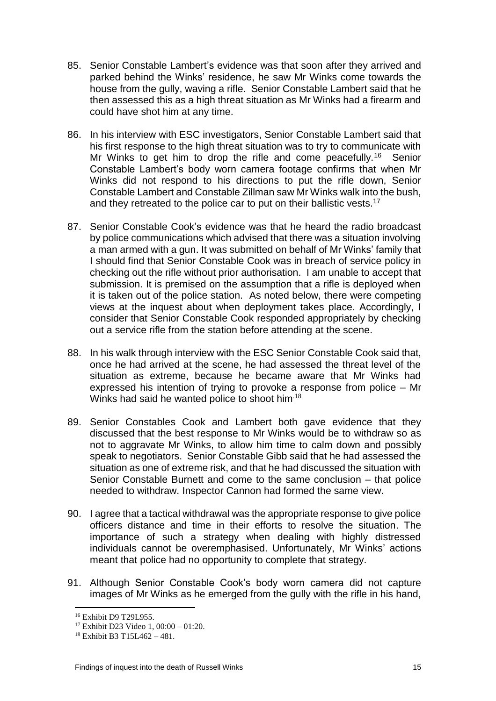- 85. Senior Constable Lambert's evidence was that soon after they arrived and parked behind the Winks' residence, he saw Mr Winks come towards the house from the gully, waving a rifle. Senior Constable Lambert said that he then assessed this as a high threat situation as Mr Winks had a firearm and could have shot him at any time.
- 86. In his interview with ESC investigators, Senior Constable Lambert said that his first response to the high threat situation was to try to communicate with Mr Winks to get him to drop the rifle and come peacefully.<sup>16</sup> Senior Constable Lambert's body worn camera footage confirms that when Mr Winks did not respond to his directions to put the rifle down, Senior Constable Lambert and Constable Zillman saw Mr Winks walk into the bush, and they retreated to the police car to put on their ballistic vests.<sup>17</sup>
- 87. Senior Constable Cook's evidence was that he heard the radio broadcast by police communications which advised that there was a situation involving a man armed with a gun. It was submitted on behalf of Mr Winks' family that I should find that Senior Constable Cook was in breach of service policy in checking out the rifle without prior authorisation. I am unable to accept that submission. It is premised on the assumption that a rifle is deployed when it is taken out of the police station. As noted below, there were competing views at the inquest about when deployment takes place. Accordingly, I consider that Senior Constable Cook responded appropriately by checking out a service rifle from the station before attending at the scene.
- 88. In his walk through interview with the ESC Senior Constable Cook said that, once he had arrived at the scene, he had assessed the threat level of the situation as extreme, because he became aware that Mr Winks had expressed his intention of trying to provoke a response from police – Mr Winks had said he wanted police to shoot him<sup>18</sup>
- 89. Senior Constables Cook and Lambert both gave evidence that they discussed that the best response to Mr Winks would be to withdraw so as not to aggravate Mr Winks, to allow him time to calm down and possibly speak to negotiators. Senior Constable Gibb said that he had assessed the situation as one of extreme risk, and that he had discussed the situation with Senior Constable Burnett and come to the same conclusion – that police needed to withdraw. Inspector Cannon had formed the same view.
- 90. I agree that a tactical withdrawal was the appropriate response to give police officers distance and time in their efforts to resolve the situation. The importance of such a strategy when dealing with highly distressed individuals cannot be overemphasised. Unfortunately, Mr Winks' actions meant that police had no opportunity to complete that strategy.
- 91. Although Senior Constable Cook's body worn camera did not capture images of Mr Winks as he emerged from the gully with the rifle in his hand,

 $\overline{a}$ <sup>16</sup> Exhibit D9 T29L955.

<sup>&</sup>lt;sup>17</sup> Exhibit D23 Video 1,  $00:00 - 01:20$ .

<sup>18</sup> Exhibit B3 T15L462 – 481.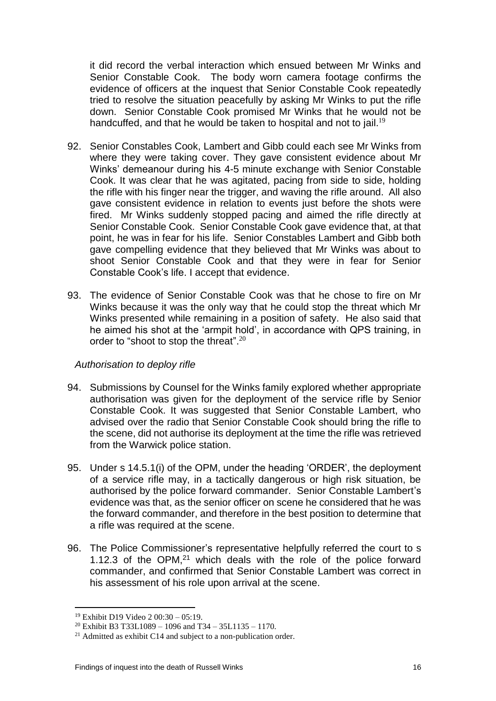it did record the verbal interaction which ensued between Mr Winks and Senior Constable Cook. The body worn camera footage confirms the evidence of officers at the inquest that Senior Constable Cook repeatedly tried to resolve the situation peacefully by asking Mr Winks to put the rifle down. Senior Constable Cook promised Mr Winks that he would not be handcuffed, and that he would be taken to hospital and not to jail.<sup>19</sup>

- 92. Senior Constables Cook, Lambert and Gibb could each see Mr Winks from where they were taking cover. They gave consistent evidence about Mr Winks' demeanour during his 4-5 minute exchange with Senior Constable Cook. It was clear that he was agitated, pacing from side to side, holding the rifle with his finger near the trigger, and waving the rifle around. All also gave consistent evidence in relation to events just before the shots were fired. Mr Winks suddenly stopped pacing and aimed the rifle directly at Senior Constable Cook. Senior Constable Cook gave evidence that, at that point, he was in fear for his life. Senior Constables Lambert and Gibb both gave compelling evidence that they believed that Mr Winks was about to shoot Senior Constable Cook and that they were in fear for Senior Constable Cook's life. I accept that evidence.
- 93. The evidence of Senior Constable Cook was that he chose to fire on Mr Winks because it was the only way that he could stop the threat which Mr Winks presented while remaining in a position of safety. He also said that he aimed his shot at the 'armpit hold', in accordance with QPS training, in order to "shoot to stop the threat".<sup>20</sup>

#### *Authorisation to deploy rifle*

- 94. Submissions by Counsel for the Winks family explored whether appropriate authorisation was given for the deployment of the service rifle by Senior Constable Cook. It was suggested that Senior Constable Lambert, who advised over the radio that Senior Constable Cook should bring the rifle to the scene, did not authorise its deployment at the time the rifle was retrieved from the Warwick police station.
- 95. Under s 14.5.1(i) of the OPM, under the heading 'ORDER', the deployment of a service rifle may, in a tactically dangerous or high risk situation, be authorised by the police forward commander. Senior Constable Lambert's evidence was that, as the senior officer on scene he considered that he was the forward commander, and therefore in the best position to determine that a rifle was required at the scene.
- 96. The Police Commissioner's representative helpfully referred the court to s 1.12.3 of the OPM, $21$  which deals with the role of the police forward commander, and confirmed that Senior Constable Lambert was correct in his assessment of his role upon arrival at the scene.

 $\overline{a}$ <sup>19</sup> Exhibit D19 Video 2 00:30 – 05:19.

<sup>&</sup>lt;sup>20</sup> Exhibit B3 T33L1089 – 1096 and T34 – 35L1135 – 1170.

<sup>&</sup>lt;sup>21</sup> Admitted as exhibit C14 and subject to a non-publication order.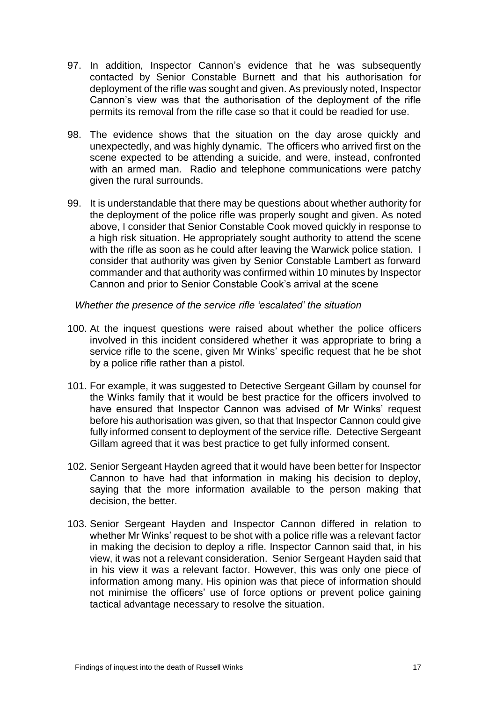- 97. In addition, Inspector Cannon's evidence that he was subsequently contacted by Senior Constable Burnett and that his authorisation for deployment of the rifle was sought and given. As previously noted, Inspector Cannon's view was that the authorisation of the deployment of the rifle permits its removal from the rifle case so that it could be readied for use.
- 98. The evidence shows that the situation on the day arose quickly and unexpectedly, and was highly dynamic. The officers who arrived first on the scene expected to be attending a suicide, and were, instead, confronted with an armed man. Radio and telephone communications were patchy given the rural surrounds.
- 99. It is understandable that there may be questions about whether authority for the deployment of the police rifle was properly sought and given. As noted above, I consider that Senior Constable Cook moved quickly in response to a high risk situation. He appropriately sought authority to attend the scene with the rifle as soon as he could after leaving the Warwick police station. I consider that authority was given by Senior Constable Lambert as forward commander and that authority was confirmed within 10 minutes by Inspector Cannon and prior to Senior Constable Cook's arrival at the scene

*Whether the presence of the service rifle 'escalated' the situation*

- 100. At the inquest questions were raised about whether the police officers involved in this incident considered whether it was appropriate to bring a service rifle to the scene, given Mr Winks' specific request that he be shot by a police rifle rather than a pistol.
- 101. For example, it was suggested to Detective Sergeant Gillam by counsel for the Winks family that it would be best practice for the officers involved to have ensured that Inspector Cannon was advised of Mr Winks' request before his authorisation was given, so that that Inspector Cannon could give fully informed consent to deployment of the service rifle. Detective Sergeant Gillam agreed that it was best practice to get fully informed consent.
- 102. Senior Sergeant Hayden agreed that it would have been better for Inspector Cannon to have had that information in making his decision to deploy, saying that the more information available to the person making that decision, the better.
- 103. Senior Sergeant Hayden and Inspector Cannon differed in relation to whether Mr Winks' request to be shot with a police rifle was a relevant factor in making the decision to deploy a rifle. Inspector Cannon said that, in his view, it was not a relevant consideration. Senior Sergeant Hayden said that in his view it was a relevant factor. However, this was only one piece of information among many. His opinion was that piece of information should not minimise the officers' use of force options or prevent police gaining tactical advantage necessary to resolve the situation.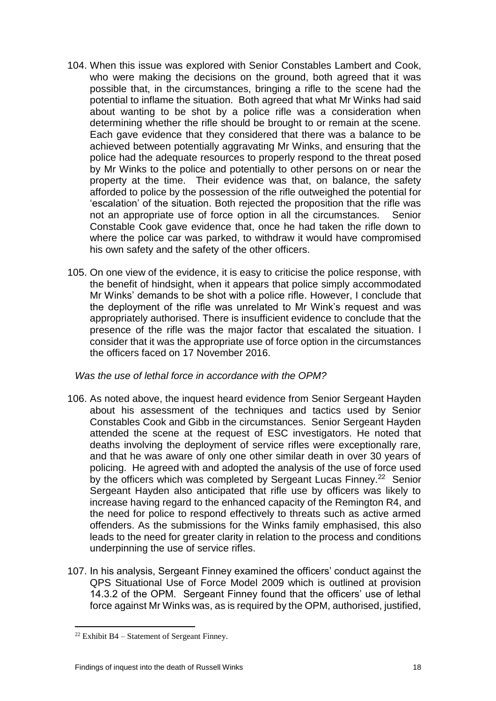- 104. When this issue was explored with Senior Constables Lambert and Cook, who were making the decisions on the ground, both agreed that it was possible that, in the circumstances, bringing a rifle to the scene had the potential to inflame the situation. Both agreed that what Mr Winks had said about wanting to be shot by a police rifle was a consideration when determining whether the rifle should be brought to or remain at the scene. Each gave evidence that they considered that there was a balance to be achieved between potentially aggravating Mr Winks, and ensuring that the police had the adequate resources to properly respond to the threat posed by Mr Winks to the police and potentially to other persons on or near the property at the time. Their evidence was that, on balance, the safety afforded to police by the possession of the rifle outweighed the potential for 'escalation' of the situation. Both rejected the proposition that the rifle was not an appropriate use of force option in all the circumstances. Senior Constable Cook gave evidence that, once he had taken the rifle down to where the police car was parked, to withdraw it would have compromised his own safety and the safety of the other officers.
- 105. On one view of the evidence, it is easy to criticise the police response, with the benefit of hindsight, when it appears that police simply accommodated Mr Winks' demands to be shot with a police rifle. However, I conclude that the deployment of the rifle was unrelated to Mr Wink's request and was appropriately authorised. There is insufficient evidence to conclude that the presence of the rifle was the major factor that escalated the situation. I consider that it was the appropriate use of force option in the circumstances the officers faced on 17 November 2016.

*Was the use of lethal force in accordance with the OPM?*

- 106. As noted above, the inquest heard evidence from Senior Sergeant Hayden about his assessment of the techniques and tactics used by Senior Constables Cook and Gibb in the circumstances. Senior Sergeant Hayden attended the scene at the request of ESC investigators. He noted that deaths involving the deployment of service rifles were exceptionally rare, and that he was aware of only one other similar death in over 30 years of policing. He agreed with and adopted the analysis of the use of force used by the officers which was completed by Sergeant Lucas Finney.<sup>22</sup> Senior Sergeant Hayden also anticipated that rifle use by officers was likely to increase having regard to the enhanced capacity of the Remington R4, and the need for police to respond effectively to threats such as active armed offenders. As the submissions for the Winks family emphasised, this also leads to the need for greater clarity in relation to the process and conditions underpinning the use of service rifles.
- 107. In his analysis, Sergeant Finney examined the officers' conduct against the QPS Situational Use of Force Model 2009 which is outlined at provision 14.3.2 of the OPM. Sergeant Finney found that the officers' use of lethal force against Mr Winks was, as is required by the OPM, authorised, justified,

<sup>&</sup>lt;sup>22</sup> Exhibit B4 – Statement of Sergeant Finney.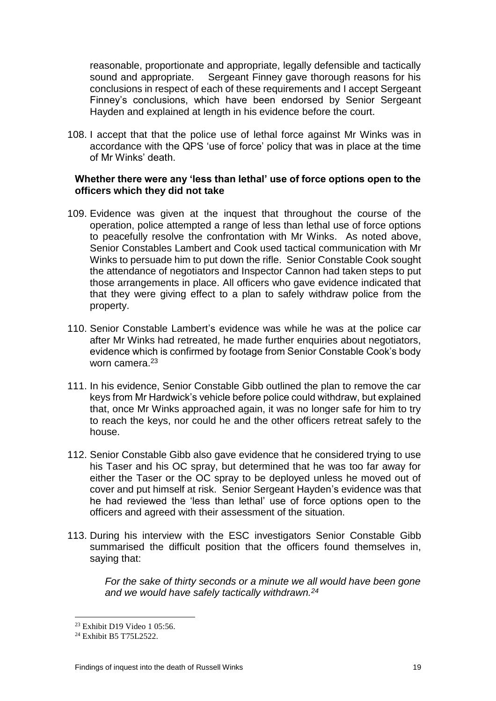reasonable, proportionate and appropriate, legally defensible and tactically sound and appropriate. Sergeant Finney gave thorough reasons for his conclusions in respect of each of these requirements and I accept Sergeant Finney's conclusions, which have been endorsed by Senior Sergeant Hayden and explained at length in his evidence before the court.

108. I accept that that the police use of lethal force against Mr Winks was in accordance with the QPS 'use of force' policy that was in place at the time of Mr Winks' death.

#### **Whether there were any 'less than lethal' use of force options open to the officers which they did not take**

- 109. Evidence was given at the inquest that throughout the course of the operation, police attempted a range of less than lethal use of force options to peacefully resolve the confrontation with Mr Winks. As noted above, Senior Constables Lambert and Cook used tactical communication with Mr Winks to persuade him to put down the rifle. Senior Constable Cook sought the attendance of negotiators and Inspector Cannon had taken steps to put those arrangements in place. All officers who gave evidence indicated that that they were giving effect to a plan to safely withdraw police from the property.
- 110. Senior Constable Lambert's evidence was while he was at the police car after Mr Winks had retreated, he made further enquiries about negotiators, evidence which is confirmed by footage from Senior Constable Cook's body worn camera.<sup>23</sup>
- 111. In his evidence, Senior Constable Gibb outlined the plan to remove the car keys from Mr Hardwick's vehicle before police could withdraw, but explained that, once Mr Winks approached again, it was no longer safe for him to try to reach the keys, nor could he and the other officers retreat safely to the house.
- 112. Senior Constable Gibb also gave evidence that he considered trying to use his Taser and his OC spray, but determined that he was too far away for either the Taser or the OC spray to be deployed unless he moved out of cover and put himself at risk. Senior Sergeant Hayden's evidence was that he had reviewed the 'less than lethal' use of force options open to the officers and agreed with their assessment of the situation.
- 113. During his interview with the ESC investigators Senior Constable Gibb summarised the difficult position that the officers found themselves in, saying that:

*For the sake of thirty seconds or a minute we all would have been gone and we would have safely tactically withdrawn.<sup>24</sup>*

<sup>23</sup> Exhibit D19 Video 1 05:56.

<sup>24</sup> Exhibit B5 T75L2522.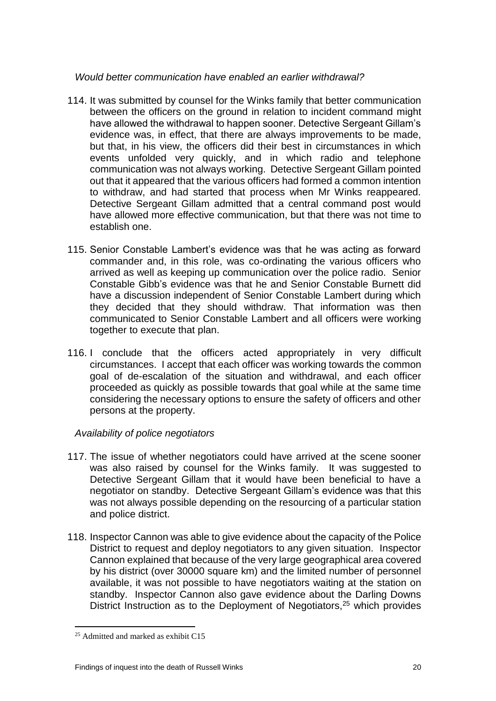#### *Would better communication have enabled an earlier withdrawal?*

- 114. It was submitted by counsel for the Winks family that better communication between the officers on the ground in relation to incident command might have allowed the withdrawal to happen sooner. Detective Sergeant Gillam's evidence was, in effect, that there are always improvements to be made, but that, in his view, the officers did their best in circumstances in which events unfolded very quickly, and in which radio and telephone communication was not always working. Detective Sergeant Gillam pointed out that it appeared that the various officers had formed a common intention to withdraw, and had started that process when Mr Winks reappeared. Detective Sergeant Gillam admitted that a central command post would have allowed more effective communication, but that there was not time to establish one.
- 115. Senior Constable Lambert's evidence was that he was acting as forward commander and, in this role, was co-ordinating the various officers who arrived as well as keeping up communication over the police radio. Senior Constable Gibb's evidence was that he and Senior Constable Burnett did have a discussion independent of Senior Constable Lambert during which they decided that they should withdraw. That information was then communicated to Senior Constable Lambert and all officers were working together to execute that plan.
- 116. I conclude that the officers acted appropriately in very difficult circumstances. I accept that each officer was working towards the common goal of de-escalation of the situation and withdrawal, and each officer proceeded as quickly as possible towards that goal while at the same time considering the necessary options to ensure the safety of officers and other persons at the property.

#### *Availability of police negotiators*

- 117. The issue of whether negotiators could have arrived at the scene sooner was also raised by counsel for the Winks family. It was suggested to Detective Sergeant Gillam that it would have been beneficial to have a negotiator on standby. Detective Sergeant Gillam's evidence was that this was not always possible depending on the resourcing of a particular station and police district.
- 118. Inspector Cannon was able to give evidence about the capacity of the Police District to request and deploy negotiators to any given situation. Inspector Cannon explained that because of the very large geographical area covered by his district (over 30000 square km) and the limited number of personnel available, it was not possible to have negotiators waiting at the station on standby. Inspector Cannon also gave evidence about the Darling Downs District Instruction as to the Deployment of Negotiators,<sup>25</sup> which provides

 $25$  Admitted and marked as exhibit C15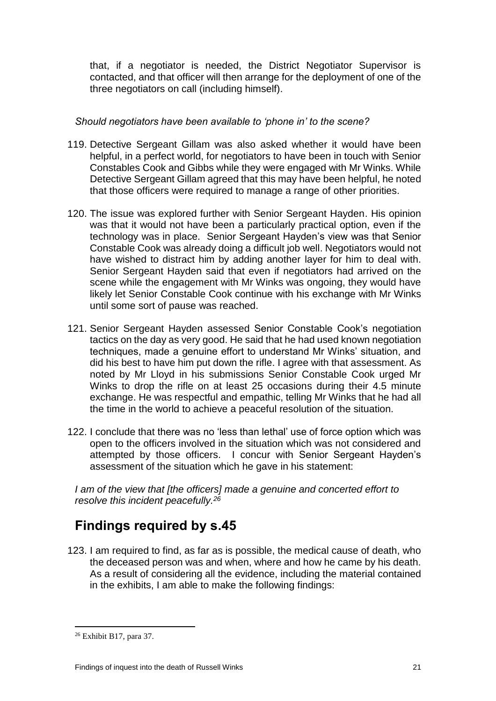that, if a negotiator is needed, the District Negotiator Supervisor is contacted, and that officer will then arrange for the deployment of one of the three negotiators on call (including himself).

#### *Should negotiators have been available to 'phone in' to the scene?*

- 119. Detective Sergeant Gillam was also asked whether it would have been helpful, in a perfect world, for negotiators to have been in touch with Senior Constables Cook and Gibbs while they were engaged with Mr Winks. While Detective Sergeant Gillam agreed that this may have been helpful, he noted that those officers were required to manage a range of other priorities.
- 120. The issue was explored further with Senior Sergeant Hayden. His opinion was that it would not have been a particularly practical option, even if the technology was in place. Senior Sergeant Hayden's view was that Senior Constable Cook was already doing a difficult job well. Negotiators would not have wished to distract him by adding another layer for him to deal with. Senior Sergeant Hayden said that even if negotiators had arrived on the scene while the engagement with Mr Winks was ongoing, they would have likely let Senior Constable Cook continue with his exchange with Mr Winks until some sort of pause was reached.
- 121. Senior Sergeant Hayden assessed Senior Constable Cook's negotiation tactics on the day as very good. He said that he had used known negotiation techniques, made a genuine effort to understand Mr Winks' situation, and did his best to have him put down the rifle. I agree with that assessment. As noted by Mr Lloyd in his submissions Senior Constable Cook urged Mr Winks to drop the rifle on at least 25 occasions during their 4.5 minute exchange. He was respectful and empathic, telling Mr Winks that he had all the time in the world to achieve a peaceful resolution of the situation.
- 122. I conclude that there was no 'less than lethal' use of force option which was open to the officers involved in the situation which was not considered and attempted by those officers. I concur with Senior Sergeant Hayden's assessment of the situation which he gave in his statement:

<span id="page-22-0"></span>*I am of the view that [the officers] made a genuine and concerted effort to resolve this incident peacefully.<sup>26</sup>*

## **Findings required by s.45**

123. I am required to find, as far as is possible, the medical cause of death, who the deceased person was and when, where and how he came by his death. As a result of considering all the evidence, including the material contained in the exhibits, I am able to make the following findings:

<sup>26</sup> Exhibit B17, para 37.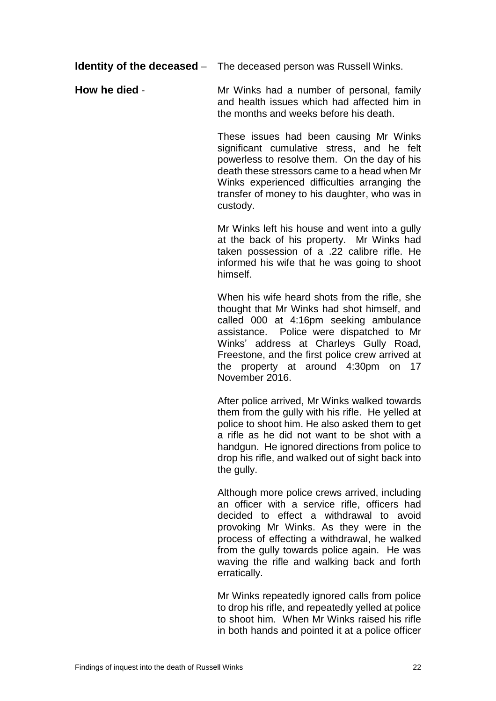**Identity of the deceased** – The deceased person was Russell Winks.

**How he died** - Mr Winks had a number of personal, family and health issues which had affected him in the months and weeks before his death.

> These issues had been causing Mr Winks significant cumulative stress, and he felt powerless to resolve them. On the day of his death these stressors came to a head when Mr Winks experienced difficulties arranging the transfer of money to his daughter, who was in custody.

> Mr Winks left his house and went into a gully at the back of his property. Mr Winks had taken possession of a .22 calibre rifle. He informed his wife that he was going to shoot himself.

> When his wife heard shots from the rifle, she thought that Mr Winks had shot himself, and called 000 at 4:16pm seeking ambulance assistance. Police were dispatched to Mr Winks' address at Charleys Gully Road, Freestone, and the first police crew arrived at the property at around 4:30pm on 17 November 2016.

> After police arrived, Mr Winks walked towards them from the gully with his rifle. He yelled at police to shoot him. He also asked them to get a rifle as he did not want to be shot with a handgun. He ignored directions from police to drop his rifle, and walked out of sight back into the gully.

> Although more police crews arrived, including an officer with a service rifle, officers had decided to effect a withdrawal to avoid provoking Mr Winks. As they were in the process of effecting a withdrawal, he walked from the gully towards police again. He was waving the rifle and walking back and forth erratically.

> Mr Winks repeatedly ignored calls from police to drop his rifle, and repeatedly yelled at police to shoot him. When Mr Winks raised his rifle in both hands and pointed it at a police officer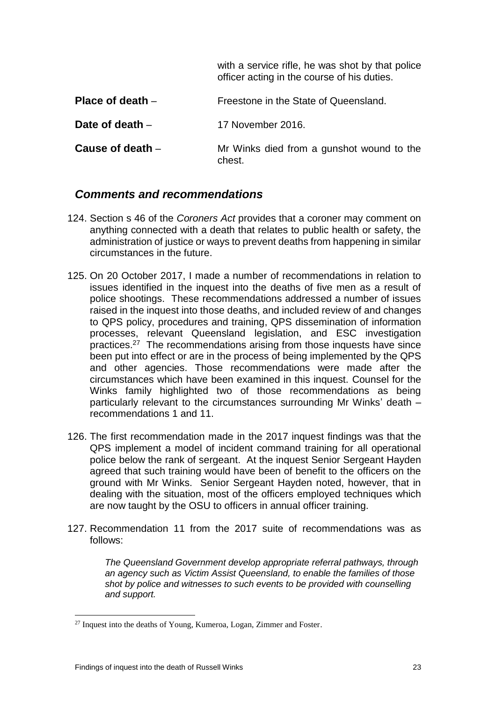|                    | with a service rifle, he was shot by that police<br>officer acting in the course of his duties. |
|--------------------|-------------------------------------------------------------------------------------------------|
| Place of death $-$ | Freestone in the State of Queensland.                                                           |
| Date of death $-$  | 17 November 2016.                                                                               |
| Cause of death $-$ | Mr Winks died from a gunshot wound to the<br>chest.                                             |

#### <span id="page-24-0"></span>*Comments and recommendations*

- 124. Section s 46 of the *Coroners Act* provides that a coroner may comment on anything connected with a death that relates to public health or safety, the administration of justice or ways to prevent deaths from happening in similar circumstances in the future.
- 125. On 20 October 2017, I made a number of recommendations in relation to issues identified in the inquest into the deaths of five men as a result of police shootings. These recommendations addressed a number of issues raised in the inquest into those deaths, and included review of and changes to QPS policy, procedures and training, QPS dissemination of information processes, relevant Queensland legislation, and ESC investigation practices.<sup>27</sup> The recommendations arising from those inquests have since been put into effect or are in the process of being implemented by the QPS and other agencies. Those recommendations were made after the circumstances which have been examined in this inquest. Counsel for the Winks family highlighted two of those recommendations as being particularly relevant to the circumstances surrounding Mr Winks' death – recommendations 1 and 11.
- 126. The first recommendation made in the 2017 inquest findings was that the QPS implement a model of incident command training for all operational police below the rank of sergeant. At the inquest Senior Sergeant Hayden agreed that such training would have been of benefit to the officers on the ground with Mr Winks. Senior Sergeant Hayden noted, however, that in dealing with the situation, most of the officers employed techniques which are now taught by the OSU to officers in annual officer training.
- 127. Recommendation 11 from the 2017 suite of recommendations was as follows:

*The Queensland Government develop appropriate referral pathways, through an agency such as Victim Assist Queensland, to enable the families of those shot by police and witnesses to such events to be provided with counselling and support.* 

 $27$  Inquest into the deaths of Young, Kumeroa, Logan, Zimmer and Foster.